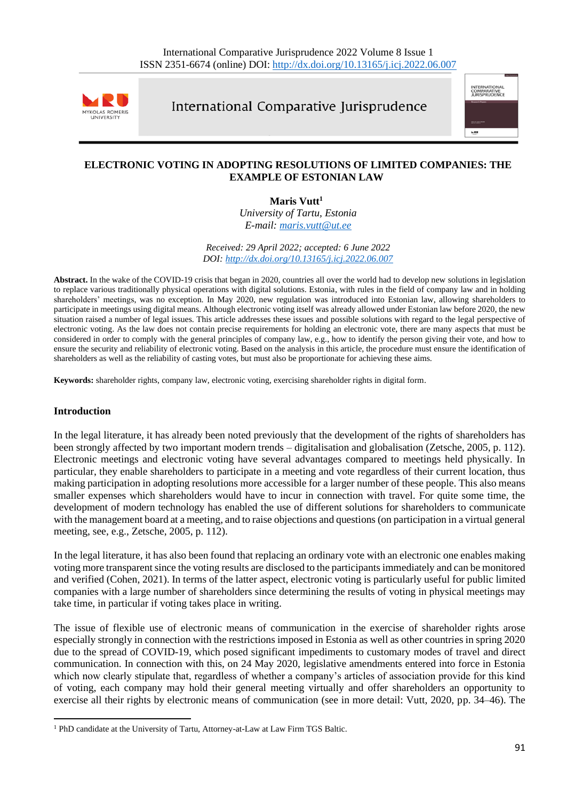

International Comparative Jurisprudence



# **ELECTRONIC VOTING IN ADOPTING RESOLUTIONS OF LIMITED COMPANIES: THE EXAMPLE OF ESTONIAN LAW**

**Maris Vutt<sup>1</sup>**

*University of Tartu, Estonia E-mail: [maris.vutt@ut.ee](mailto:maris.vutt@ut.ee)*

*Received: 29 April 2022; accepted: 6 June 2022 DOI: <http://dx.doi.org/10.13165/j.icj.2022.06.007>*

**Abstract.** In the wake of the COVID-19 crisis that began in 2020, countries all over the world had to develop new solutions in legislation to replace various traditionally physical operations with digital solutions. Estonia, with rules in the field of company law and in holding shareholders' meetings, was no exception. In May 2020, new regulation was introduced into Estonian law, allowing shareholders to participate in meetings using digital means. Although electronic voting itself was already allowed under Estonian law before 2020, the new situation raised a number of legal issues. This article addresses these issues and possible solutions with regard to the legal perspective of electronic voting. As the law does not contain precise requirements for holding an electronic vote, there are many aspects that must be considered in order to comply with the general principles of company law, e.g., how to identify the person giving their vote, and how to ensure the security and reliability of electronic voting. Based on the analysis in this article, the procedure must ensure the identification of shareholders as well as the reliability of casting votes, but must also be proportionate for achieving these aims.

**Keywords:** shareholder rights, company law, electronic voting, exercising shareholder rights in digital form.

# **Introduction**

In the legal literature, it has already been noted previously that the development of the rights of shareholders has been strongly affected by two important modern trends – digitalisation and globalisation (Zetsche, 2005, p. 112). Electronic meetings and electronic voting have several advantages compared to meetings held physically. In particular, they enable shareholders to participate in a meeting and vote regardless of their current location, thus making participation in adopting resolutions more accessible for a larger number of these people. This also means smaller expenses which shareholders would have to incur in connection with travel. For quite some time, the development of modern technology has enabled the use of different solutions for shareholders to communicate with the management board at a meeting, and to raise objections and questions (on participation in a virtual general meeting, see, e.g., Zetsche, 2005, p. 112).

In the legal literature, it has also been found that replacing an ordinary vote with an electronic one enables making voting more transparent since the voting results are disclosed to the participants immediately and can be monitored and verified (Cohen, 2021). In terms of the latter aspect, electronic voting is particularly useful for public limited companies with a large number of shareholders since determining the results of voting in physical meetings may take time, in particular if voting takes place in writing.

The issue of flexible use of electronic means of communication in the exercise of shareholder rights arose especially strongly in connection with the restrictions imposed in Estonia as well as other countries in spring 2020 due to the spread of COVID-19, which posed significant impediments to customary modes of travel and direct communication. In connection with this, on 24 May 2020, legislative amendments entered into force in Estonia which now clearly stipulate that, regardless of whether a company's articles of association provide for this kind of voting, each company may hold their general meeting virtually and offer shareholders an opportunity to exercise all their rights by electronic means of communication (see in more detail: Vutt, 2020, pp. 34–46). The

<sup>&</sup>lt;sup>1</sup> PhD candidate at the University of Tartu, Attorney-at-Law at Law Firm TGS Baltic.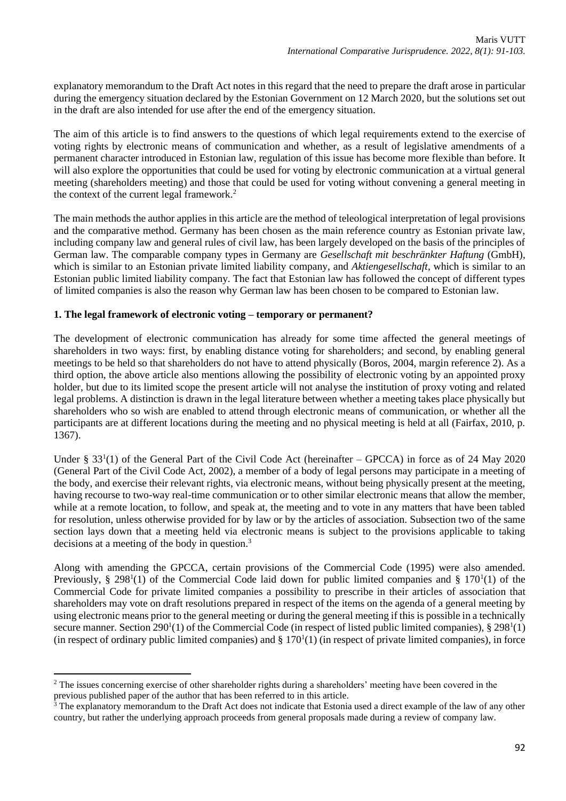explanatory memorandum to the Draft Act notes in this regard that the need to prepare the draft arose in particular during the emergency situation declared by the Estonian Government on 12 March 2020, but the solutions set out in the draft are also intended for use after the end of the emergency situation.

The aim of this article is to find answers to the questions of which legal requirements extend to the exercise of voting rights by electronic means of communication and whether, as a result of legislative amendments of a permanent character introduced in Estonian law, regulation of this issue has become more flexible than before. It will also explore the opportunities that could be used for voting by electronic communication at a virtual general meeting (shareholders meeting) and those that could be used for voting without convening a general meeting in the context of the current legal framework.<sup>2</sup>

The main methods the author applies in this article are the method of teleological interpretation of legal provisions and the comparative method. Germany has been chosen as the main reference country as Estonian private law, including company law and general rules of civil law, has been largely developed on the basis of the principles of German law. The comparable company types in Germany are *Gesellschaft mit beschränkter Haftung* (GmbH), which is similar to an Estonian private limited liability company, and *Aktiengesellschaft*, which is similar to an Estonian public limited liability company. The fact that Estonian law has followed the concept of different types of limited companies is also the reason why German law has been chosen to be compared to Estonian law.

### **1. The legal framework of electronic voting – temporary or permanent?**

The development of electronic communication has already for some time affected the general meetings of shareholders in two ways: first, by enabling distance voting for shareholders; and second, by enabling general meetings to be held so that shareholders do not have to attend physically (Boros, 2004, margin reference 2). As a third option, the above article also mentions allowing the possibility of electronic voting by an appointed proxy holder, but due to its limited scope the present article will not analyse the institution of proxy voting and related legal problems. A distinction is drawn in the legal literature between whether a meeting takes place physically but shareholders who so wish are enabled to attend through electronic means of communication, or whether all the participants are at different locations during the meeting and no physical meeting is held at all (Fairfax, 2010, p. 1367).

Under § 33<sup>1</sup>(1) of the General Part of the Civil Code Act (hereinafter – GPCCA) in force as of 24 May 2020 (General Part of the Civil Code Act, 2002), a member of a body of legal persons may participate in a meeting of the body, and exercise their relevant rights, via electronic means, without being physically present at the meeting, having recourse to two-way real-time communication or to other similar electronic means that allow the member, while at a remote location, to follow, and speak at, the meeting and to vote in any matters that have been tabled for resolution, unless otherwise provided for by law or by the articles of association. Subsection two of the same section lays down that a meeting held via electronic means is subject to the provisions applicable to taking decisions at a meeting of the body in question.<sup>3</sup>

Along with amending the GPCCA, certain provisions of the Commercial Code (1995) were also amended. Previously, § 298<sup>1</sup>(1) of the Commercial Code laid down for public limited companies and § 170<sup>1</sup>(1) of the Commercial Code for private limited companies a possibility to prescribe in their articles of association that shareholders may vote on draft resolutions prepared in respect of the items on the agenda of a general meeting by using electronic means prior to the general meeting or during the general meeting if this is possible in a technically secure manner. Section 290<sup>1</sup>(1) of the Commercial Code (in respect of listed public limited companies), § 298<sup>1</sup>(1) (in respect of ordinary public limited companies) and  $\S 170<sup>1</sup>(1)$  (in respect of private limited companies), in force

<sup>&</sup>lt;sup>2</sup> The issues concerning exercise of other shareholder rights during a shareholders' meeting have been covered in the previous published paper of the author that has been referred to in this article.

<sup>3</sup> The explanatory memorandum to the Draft Act does not indicate that Estonia used a direct example of the law of any other country, but rather the underlying approach proceeds from general proposals made during a review of company law.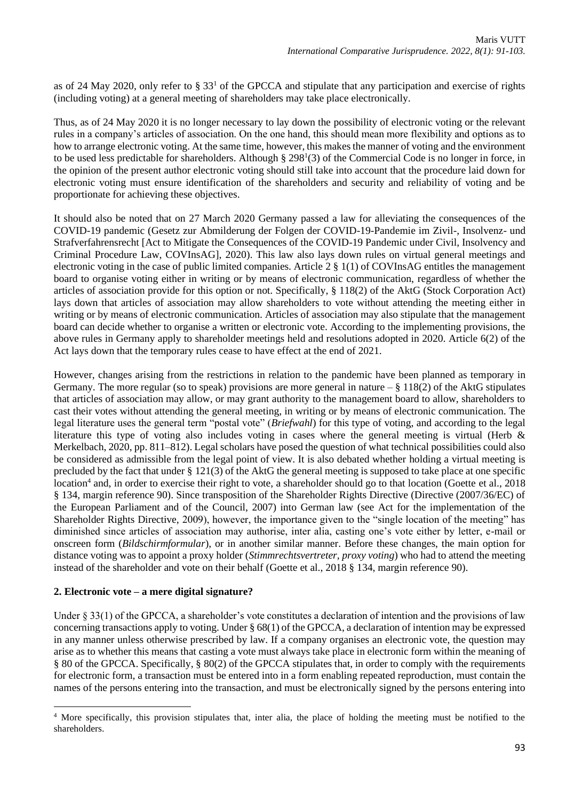as of 24 May 2020, only refer to  $\S 33<sup>1</sup>$  of the GPCCA and stipulate that any participation and exercise of rights (including voting) at a general meeting of shareholders may take place electronically.

Thus, as of 24 May 2020 it is no longer necessary to lay down the possibility of electronic voting or the relevant rules in a company's articles of association. On the one hand, this should mean more flexibility and options as to how to arrange electronic voting. At the same time, however, this makes the manner of voting and the environment to be used less predictable for shareholders. Although  $\S 298<sup>1</sup>(3)$  of the Commercial Code is no longer in force, in the opinion of the present author electronic voting should still take into account that the procedure laid down for electronic voting must ensure identification of the shareholders and security and reliability of voting and be proportionate for achieving these objectives.

It should also be noted that on 27 March 2020 Germany passed a law for alleviating the consequences of the COVID-19 pandemic (Gesetz zur Abmilderung der Folgen der COVID-19-Pandemie im Zivil-, Insolvenz- und Strafverfahrensrecht [Act to Mitigate the Consequences of the COVID-19 Pandemic under Civil, Insolvency and Criminal Procedure Law, COVInsAG], 2020). This law also lays down rules on virtual general meetings and electronic voting in the case of public limited companies. Article 2 § 1(1) of COVInsAG entitles the management board to organise voting either in writing or by means of electronic communication, regardless of whether the articles of association provide for this option or not. Specifically, § 118(2) of the AktG (Stock Corporation Act) lays down that articles of association may allow shareholders to vote without attending the meeting either in writing or by means of electronic communication. Articles of association may also stipulate that the management board can decide whether to organise a written or electronic vote. According to the implementing provisions, the above rules in Germany apply to shareholder meetings held and resolutions adopted in 2020. Article 6(2) of the Act lays down that the temporary rules cease to have effect at the end of 2021.

However, changes arising from the restrictions in relation to the pandemic have been planned as temporary in Germany. The more regular (so to speak) provisions are more general in nature  $-\frac{8}{3}$  118(2) of the AktG stipulates that articles of association may allow, or may grant authority to the management board to allow, shareholders to cast their votes without attending the general meeting, in writing or by means of electronic communication. The legal literature uses the general term "postal vote" (*Briefwahl*) for this type of voting, and according to the legal literature this type of voting also includes voting in cases where the general meeting is virtual (Herb & Merkelbach, 2020, pp. 811–812). Legal scholars have posed the question of what technical possibilities could also be considered as admissible from the legal point of view. It is also debated whether holding a virtual meeting is precluded by the fact that under § 121(3) of the AktG the general meeting is supposed to take place at one specific location<sup>4</sup> and, in order to exercise their right to vote, a shareholder should go to that location (Goette et al., 2018 § 134, margin reference 90). Since transposition of the Shareholder Rights Directive (Directive (2007/36/EC) of the European Parliament and of the Council, 2007) into German law (see Act for the implementation of the Shareholder Rights Directive, 2009), however, the importance given to the "single location of the meeting" has diminished since articles of association may authorise, inter alia, casting one's vote either by letter, e-mail or onscreen form (*Bildschirmformular*), or in another similar manner. Before these changes, the main option for distance voting was to appoint a proxy holder (*Stimmrechtsvertreter, proxy voting*) who had to attend the meeting instead of the shareholder and vote on their behalf (Goette et al., 2018 § 134, margin reference 90).

# **2. Electronic vote – a mere digital signature?**

Under  $\S 33(1)$  of the GPCCA, a shareholder's vote constitutes a declaration of intention and the provisions of law concerning transactions apply to voting. Under  $\S 68(1)$  of the GPCCA, a declaration of intention may be expressed in any manner unless otherwise prescribed by law. If a company organises an electronic vote, the question may arise as to whether this means that casting a vote must always take place in electronic form within the meaning of § 80 of the GPCCA. Specifically, § 80(2) of the GPCCA stipulates that, in order to comply with the requirements for electronic form, a transaction must be entered into in a form enabling repeated reproduction, must contain the names of the persons entering into the transaction, and must be electronically signed by the persons entering into

<sup>&</sup>lt;sup>4</sup> More specifically, this provision stipulates that, inter alia, the place of holding the meeting must be notified to the shareholders.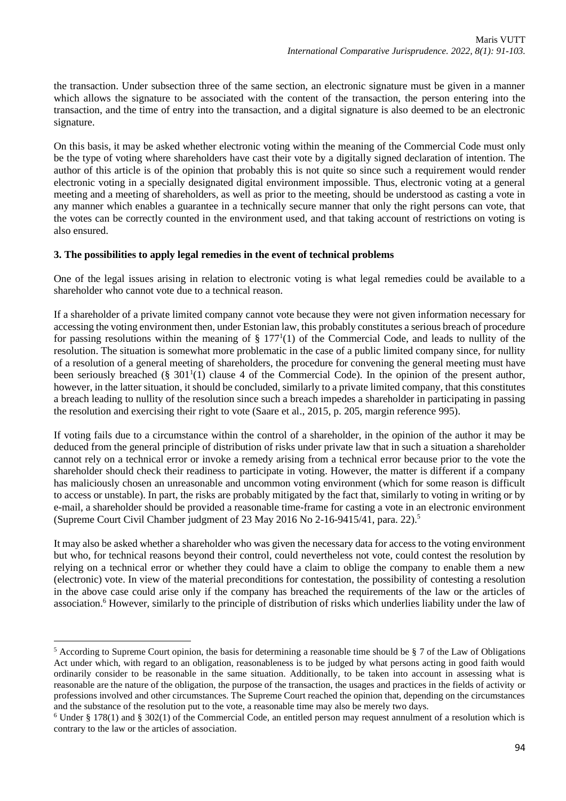the transaction. Under subsection three of the same section, an electronic signature must be given in a manner which allows the signature to be associated with the content of the transaction, the person entering into the transaction, and the time of entry into the transaction, and a digital signature is also deemed to be an electronic signature.

On this basis, it may be asked whether electronic voting within the meaning of the Commercial Code must only be the type of voting where shareholders have cast their vote by a digitally signed declaration of intention. The author of this article is of the opinion that probably this is not quite so since such a requirement would render electronic voting in a specially designated digital environment impossible. Thus, electronic voting at a general meeting and a meeting of shareholders, as well as prior to the meeting, should be understood as casting a vote in any manner which enables a guarantee in a technically secure manner that only the right persons can vote, that the votes can be correctly counted in the environment used, and that taking account of restrictions on voting is also ensured.

### **3. The possibilities to apply legal remedies in the event of technical problems**

One of the legal issues arising in relation to electronic voting is what legal remedies could be available to a shareholder who cannot vote due to a technical reason.

If a shareholder of a private limited company cannot vote because they were not given information necessary for accessing the voting environment then, under Estonian law, this probably constitutes a serious breach of procedure for passing resolutions within the meaning of  $\S 177<sup>1</sup>(1)$  of the Commercial Code, and leads to nullity of the resolution. The situation is somewhat more problematic in the case of a public limited company since, for nullity of a resolution of a general meeting of shareholders, the procedure for convening the general meeting must have been seriously breached  $(\S 301<sup>1</sup>(1))$  clause 4 of the Commercial Code). In the opinion of the present author, however, in the latter situation, it should be concluded, similarly to a private limited company, that this constitutes a breach leading to nullity of the resolution since such a breach impedes a shareholder in participating in passing the resolution and exercising their right to vote (Saare et al., 2015, p. 205, margin reference 995).

If voting fails due to a circumstance within the control of a shareholder, in the opinion of the author it may be deduced from the general principle of distribution of risks under private law that in such a situation a shareholder cannot rely on a technical error or invoke a remedy arising from a technical error because prior to the vote the shareholder should check their readiness to participate in voting. However, the matter is different if a company has maliciously chosen an unreasonable and uncommon voting environment (which for some reason is difficult to access or unstable). In part, the risks are probably mitigated by the fact that, similarly to voting in writing or by e-mail, a shareholder should be provided a reasonable time-frame for casting a vote in an electronic environment (Supreme Court Civil Chamber judgment of 23 May 2016 No 2-16-9415/41, para. 22).<sup>5</sup>

It may also be asked whether a shareholder who was given the necessary data for access to the voting environment but who, for technical reasons beyond their control, could nevertheless not vote, could contest the resolution by relying on a technical error or whether they could have a claim to oblige the company to enable them a new (electronic) vote. In view of the material preconditions for contestation, the possibility of contesting a resolution in the above case could arise only if the company has breached the requirements of the law or the articles of association.<sup>6</sup> However, similarly to the principle of distribution of risks which underlies liability under the law of

 $5$  According to Supreme Court opinion, the basis for determining a reasonable time should be  $8$  7 of the Law of Obligations Act under which, with regard to an obligation, reasonableness is to be judged by what persons acting in good faith would ordinarily consider to be reasonable in the same situation. Additionally, to be taken into account in assessing what is reasonable are the nature of the obligation, the purpose of the transaction, the usages and practices in the fields of activity or professions involved and other circumstances. The Supreme Court reached the opinion that, depending on the circumstances and the substance of the resolution put to the vote, a reasonable time may also be merely two days.

 $6$  Under § 178(1) and § 302(1) of the Commercial Code, an entitled person may request annulment of a resolution which is contrary to the law or the articles of association.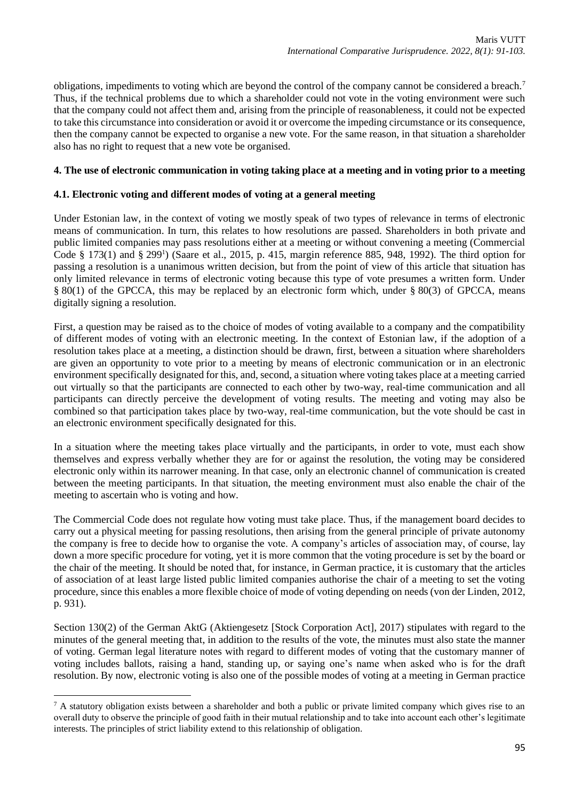obligations, impediments to voting which are beyond the control of the company cannot be considered a breach.<sup>7</sup> Thus, if the technical problems due to which a shareholder could not vote in the voting environment were such that the company could not affect them and, arising from the principle of reasonableness, it could not be expected to take this circumstance into consideration or avoid it or overcome the impeding circumstance or its consequence, then the company cannot be expected to organise a new vote. For the same reason, in that situation a shareholder also has no right to request that a new vote be organised.

### **4. The use of electronic communication in voting taking place at a meeting and in voting prior to a meeting**

### **4.1. Electronic voting and different modes of voting at a general meeting**

Under Estonian law, in the context of voting we mostly speak of two types of relevance in terms of electronic means of communication. In turn, this relates to how resolutions are passed. Shareholders in both private and public limited companies may pass resolutions either at a meeting or without convening a meeting (Commercial Code § 173(1) and § 299<sup>1</sup>) (Saare et al., 2015, p. 415, margin reference 885, 948, 1992). The third option for passing a resolution is a unanimous written decision, but from the point of view of this article that situation has only limited relevance in terms of electronic voting because this type of vote presumes a written form. Under § 80(1) of the GPCCA, this may be replaced by an electronic form which, under § 80(3) of GPCCA, means digitally signing a resolution.

First, a question may be raised as to the choice of modes of voting available to a company and the compatibility of different modes of voting with an electronic meeting. In the context of Estonian law, if the adoption of a resolution takes place at a meeting, a distinction should be drawn, first, between a situation where shareholders are given an opportunity to vote prior to a meeting by means of electronic communication or in an electronic environment specifically designated for this, and, second, a situation where voting takes place at a meeting carried out virtually so that the participants are connected to each other by two-way, real-time communication and all participants can directly perceive the development of voting results. The meeting and voting may also be combined so that participation takes place by two-way, real-time communication, but the vote should be cast in an electronic environment specifically designated for this.

In a situation where the meeting takes place virtually and the participants, in order to vote, must each show themselves and express verbally whether they are for or against the resolution, the voting may be considered electronic only within its narrower meaning. In that case, only an electronic channel of communication is created between the meeting participants. In that situation, the meeting environment must also enable the chair of the meeting to ascertain who is voting and how.

The Commercial Code does not regulate how voting must take place. Thus, if the management board decides to carry out a physical meeting for passing resolutions, then arising from the general principle of private autonomy the company is free to decide how to organise the vote. A company's articles of association may, of course, lay down a more specific procedure for voting, yet it is more common that the voting procedure is set by the board or the chair of the meeting. It should be noted that, for instance, in German practice, it is customary that the articles of association of at least large listed public limited companies authorise the chair of a meeting to set the voting procedure, since this enables a more flexible choice of mode of voting depending on needs (von der Linden, 2012, p. 931).

Section 130(2) of the German AktG (Aktiengesetz [Stock Corporation Act], 2017) stipulates with regard to the minutes of the general meeting that, in addition to the results of the vote, the minutes must also state the manner of voting. German legal literature notes with regard to different modes of voting that the customary manner of voting includes ballots, raising a hand, standing up, or saying one's name when asked who is for the draft resolution. By now, electronic voting is also one of the possible modes of voting at a meeting in German practice

<sup>&</sup>lt;sup>7</sup> A statutory obligation exists between a shareholder and both a public or private limited company which gives rise to an overall duty to observe the principle of good faith in their mutual relationship and to take into account each other's legitimate interests. The principles of strict liability extend to this relationship of obligation.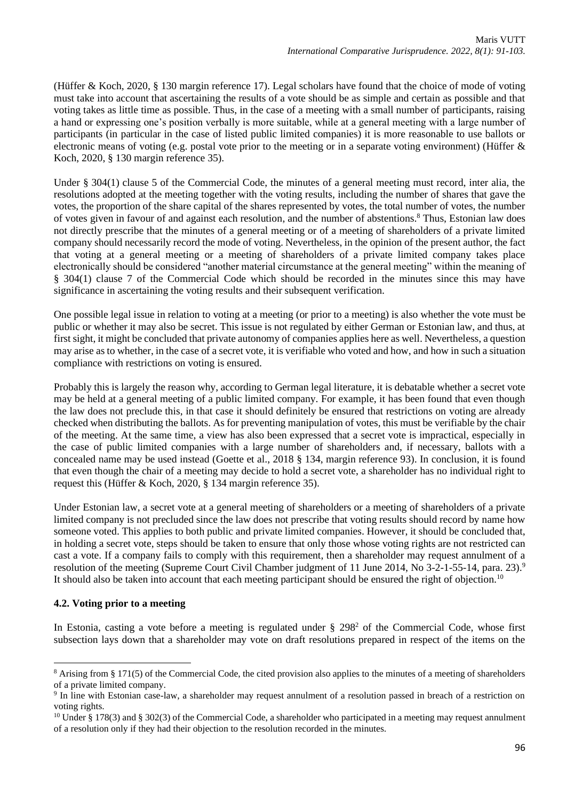(Hüffer & Koch, 2020, § 130 margin reference 17). Legal scholars have found that the choice of mode of voting must take into account that ascertaining the results of a vote should be as simple and certain as possible and that voting takes as little time as possible. Thus, in the case of a meeting with a small number of participants, raising a hand or expressing one's position verbally is more suitable, while at a general meeting with a large number of participants (in particular in the case of listed public limited companies) it is more reasonable to use ballots or electronic means of voting (e.g. postal vote prior to the meeting or in a separate voting environment) (Hüffer & Koch, 2020, § 130 margin reference 35).

Under § 304(1) clause 5 of the Commercial Code, the minutes of a general meeting must record, inter alia, the resolutions adopted at the meeting together with the voting results, including the number of shares that gave the votes, the proportion of the share capital of the shares represented by votes, the total number of votes, the number of votes given in favour of and against each resolution, and the number of abstentions.<sup>8</sup> Thus, Estonian law does not directly prescribe that the minutes of a general meeting or of a meeting of shareholders of a private limited company should necessarily record the mode of voting. Nevertheless, in the opinion of the present author, the fact that voting at a general meeting or a meeting of shareholders of a private limited company takes place electronically should be considered "another material circumstance at the general meeting" within the meaning of § 304(1) clause 7 of the Commercial Code which should be recorded in the minutes since this may have significance in ascertaining the voting results and their subsequent verification.

One possible legal issue in relation to voting at a meeting (or prior to a meeting) is also whether the vote must be public or whether it may also be secret. This issue is not regulated by either German or Estonian law, and thus, at first sight, it might be concluded that private autonomy of companies applies here as well. Nevertheless, a question may arise as to whether, in the case of a secret vote, it is verifiable who voted and how, and how in such a situation compliance with restrictions on voting is ensured.

Probably this is largely the reason why, according to German legal literature, it is debatable whether a secret vote may be held at a general meeting of a public limited company. For example, it has been found that even though the law does not preclude this, in that case it should definitely be ensured that restrictions on voting are already checked when distributing the ballots. As for preventing manipulation of votes, this must be verifiable by the chair of the meeting. At the same time, a view has also been expressed that a secret vote is impractical, especially in the case of public limited companies with a large number of shareholders and, if necessary, ballots with a concealed name may be used instead (Goette et al., 2018 § 134, margin reference 93). In conclusion, it is found that even though the chair of a meeting may decide to hold a secret vote, a shareholder has no individual right to request this (Hüffer & Koch, 2020, § 134 margin reference 35).

Under Estonian law, a secret vote at a general meeting of shareholders or a meeting of shareholders of a private limited company is not precluded since the law does not prescribe that voting results should record by name how someone voted. This applies to both public and private limited companies. However, it should be concluded that, in holding a secret vote, steps should be taken to ensure that only those whose voting rights are not restricted can cast a vote. If a company fails to comply with this requirement, then a shareholder may request annulment of a resolution of the meeting (Supreme Court Civil Chamber judgment of 11 June 2014, No 3-2-1-55-14, para. 23).<sup>9</sup> It should also be taken into account that each meeting participant should be ensured the right of objection.<sup>10</sup>

# **4.2. Voting prior to a meeting**

In Estonia, casting a vote before a meeting is regulated under § 298<sup>2</sup> of the Commercial Code, whose first subsection lays down that a shareholder may vote on draft resolutions prepared in respect of the items on the

<sup>&</sup>lt;sup>8</sup> Arising from § 171(5) of the Commercial Code, the cited provision also applies to the minutes of a meeting of shareholders of a private limited company.

<sup>9</sup> In line with Estonian case-law, a shareholder may request annulment of a resolution passed in breach of a restriction on voting rights.

<sup>&</sup>lt;sup>10</sup> Under § 178(3) and § 302(3) of the Commercial Code, a shareholder who participated in a meeting may request annulment of a resolution only if they had their objection to the resolution recorded in the minutes.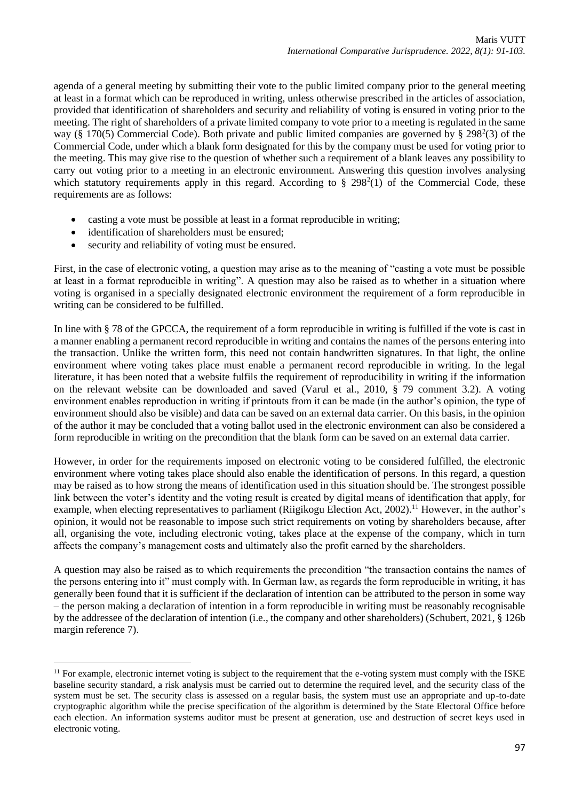agenda of a general meeting by submitting their vote to the public limited company prior to the general meeting at least in a format which can be reproduced in writing, unless otherwise prescribed in the articles of association, provided that identification of shareholders and security and reliability of voting is ensured in voting prior to the meeting. The right of shareholders of a private limited company to vote prior to a meeting is regulated in the same way (§ 170(5) Commercial Code). Both private and public limited companies are governed by § 298 $2(3)$  of the Commercial Code, under which a blank form designated for this by the company must be used for voting prior to the meeting. This may give rise to the question of whether such a requirement of a blank leaves any possibility to carry out voting prior to a meeting in an electronic environment. Answering this question involves analysing which statutory requirements apply in this regard. According to  $\S 298<sup>2</sup>(1)$  of the Commercial Code, these requirements are as follows:

- casting a vote must be possible at least in a format reproducible in writing;
- identification of shareholders must be ensured;
- security and reliability of voting must be ensured.

First, in the case of electronic voting, a question may arise as to the meaning of "casting a vote must be possible at least in a format reproducible in writing". A question may also be raised as to whether in a situation where voting is organised in a specially designated electronic environment the requirement of a form reproducible in writing can be considered to be fulfilled.

In line with § 78 of the GPCCA, the requirement of a form reproducible in writing is fulfilled if the vote is cast in a manner enabling a permanent record reproducible in writing and contains the names of the persons entering into the transaction. Unlike the written form, this need not contain handwritten signatures. In that light, the online environment where voting takes place must enable a permanent record reproducible in writing. In the legal literature, it has been noted that a website fulfils the requirement of reproducibility in writing if the information on the relevant website can be downloaded and saved (Varul et al., 2010, § 79 comment 3.2). A voting environment enables reproduction in writing if printouts from it can be made (in the author's opinion, the type of environment should also be visible) and data can be saved on an external data carrier. On this basis, in the opinion of the author it may be concluded that a voting ballot used in the electronic environment can also be considered a form reproducible in writing on the precondition that the blank form can be saved on an external data carrier.

However, in order for the requirements imposed on electronic voting to be considered fulfilled, the electronic environment where voting takes place should also enable the identification of persons. In this regard, a question may be raised as to how strong the means of identification used in this situation should be. The strongest possible link between the voter's identity and the voting result is created by digital means of identification that apply, for example, when electing representatives to parliament (Riigikogu Election Act, 2002).<sup>11</sup> However, in the author's opinion, it would not be reasonable to impose such strict requirements on voting by shareholders because, after all, organising the vote, including electronic voting, takes place at the expense of the company, which in turn affects the company's management costs and ultimately also the profit earned by the shareholders.

A question may also be raised as to which requirements the precondition "the transaction contains the names of the persons entering into it" must comply with. In German law, as regards the form reproducible in writing, it has generally been found that it is sufficient if the declaration of intention can be attributed to the person in some way – the person making a declaration of intention in a form reproducible in writing must be reasonably recognisable by the addressee of the declaration of intention (i.e., the company and other shareholders) (Schubert, 2021, § 126b margin reference 7).

 $11$  For example, electronic internet voting is subject to the requirement that the e-voting system must comply with the ISKE baseline security standard, a risk analysis must be carried out to determine the required level, and the security class of the system must be set. The security class is assessed on a regular basis, the system must use an appropriate and up-to-date cryptographic algorithm while the precise specification of the algorithm is determined by the State Electoral Office before each election. An information systems auditor must be present at generation, use and destruction of secret keys used in electronic voting.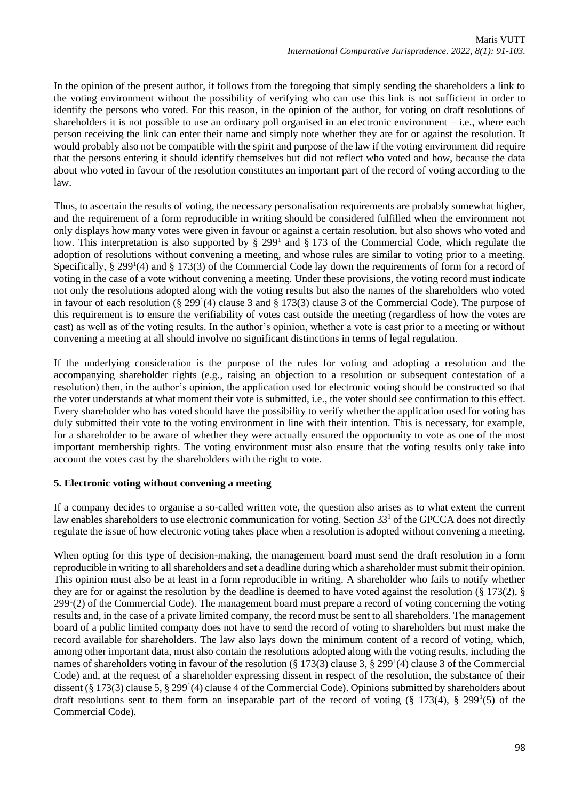In the opinion of the present author, it follows from the foregoing that simply sending the shareholders a link to the voting environment without the possibility of verifying who can use this link is not sufficient in order to identify the persons who voted. For this reason, in the opinion of the author, for voting on draft resolutions of shareholders it is not possible to use an ordinary poll organised in an electronic environment  $-$  i.e., where each person receiving the link can enter their name and simply note whether they are for or against the resolution. It would probably also not be compatible with the spirit and purpose of the law if the voting environment did require that the persons entering it should identify themselves but did not reflect who voted and how, because the data about who voted in favour of the resolution constitutes an important part of the record of voting according to the law.

Thus, to ascertain the results of voting, the necessary personalisation requirements are probably somewhat higher, and the requirement of a form reproducible in writing should be considered fulfilled when the environment not only displays how many votes were given in favour or against a certain resolution, but also shows who voted and how. This interpretation is also supported by  $\S 299<sup>1</sup>$  and  $\S 173$  of the Commercial Code, which regulate the adoption of resolutions without convening a meeting, and whose rules are similar to voting prior to a meeting. Specifically, § 299<sup>1</sup>(4) and § 173(3) of the Commercial Code lay down the requirements of form for a record of voting in the case of a vote without convening a meeting. Under these provisions, the voting record must indicate not only the resolutions adopted along with the voting results but also the names of the shareholders who voted in favour of each resolution (§ 299<sup>1</sup>(4) clause 3 and § 173(3) clause 3 of the Commercial Code). The purpose of this requirement is to ensure the verifiability of votes cast outside the meeting (regardless of how the votes are cast) as well as of the voting results. In the author's opinion, whether a vote is cast prior to a meeting or without convening a meeting at all should involve no significant distinctions in terms of legal regulation.

If the underlying consideration is the purpose of the rules for voting and adopting a resolution and the accompanying shareholder rights (e.g., raising an objection to a resolution or subsequent contestation of a resolution) then, in the author's opinion, the application used for electronic voting should be constructed so that the voter understands at what moment their vote is submitted, i.e., the voter should see confirmation to this effect. Every shareholder who has voted should have the possibility to verify whether the application used for voting has duly submitted their vote to the voting environment in line with their intention. This is necessary, for example, for a shareholder to be aware of whether they were actually ensured the opportunity to vote as one of the most important membership rights. The voting environment must also ensure that the voting results only take into account the votes cast by the shareholders with the right to vote.

# **5. Electronic voting without convening a meeting**

If a company decides to organise a so-called written vote, the question also arises as to what extent the current law enables shareholders to use electronic communication for voting. Section 33<sup>1</sup> of the GPCCA does not directly regulate the issue of how electronic voting takes place when a resolution is adopted without convening a meeting.

When opting for this type of decision-making, the management board must send the draft resolution in a form reproducible in writing to all shareholders and set a deadline during which a shareholder must submit their opinion. This opinion must also be at least in a form reproducible in writing. A shareholder who fails to notify whether they are for or against the resolution by the deadline is deemed to have voted against the resolution (§ 173(2), § 299<sup>1</sup>(2) of the Commercial Code). The management board must prepare a record of voting concerning the voting results and, in the case of a private limited company, the record must be sent to all shareholders. The management board of a public limited company does not have to send the record of voting to shareholders but must make the record available for shareholders. The law also lays down the minimum content of a record of voting, which, among other important data, must also contain the resolutions adopted along with the voting results, including the names of shareholders voting in favour of the resolution (§ 173(3) clause 3, § 299<sup>1</sup>(4) clause 3 of the Commercial Code) and, at the request of a shareholder expressing dissent in respect of the resolution, the substance of their dissent (§ 173(3) clause 5, § 299<sup>1</sup>(4) clause 4 of the Commercial Code). Opinions submitted by shareholders about draft resolutions sent to them form an inseparable part of the record of voting  $(\S 173(4), \S 299^1(5)$  of the Commercial Code).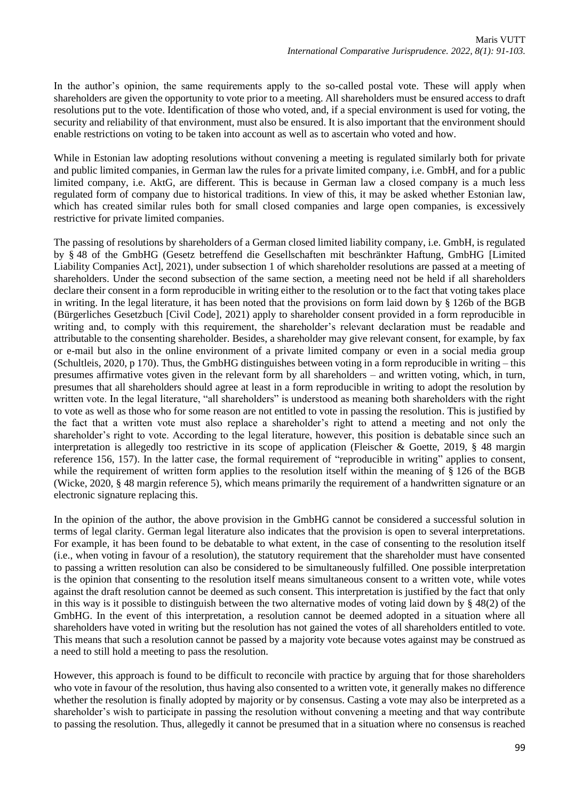In the author's opinion, the same requirements apply to the so-called postal vote. These will apply when shareholders are given the opportunity to vote prior to a meeting. All shareholders must be ensured access to draft resolutions put to the vote. Identification of those who voted, and, if a special environment is used for voting, the security and reliability of that environment, must also be ensured. It is also important that the environment should enable restrictions on voting to be taken into account as well as to ascertain who voted and how.

While in Estonian law adopting resolutions without convening a meeting is regulated similarly both for private and public limited companies, in German law the rules for a private limited company, i.e. GmbH, and for a public limited company, i.e. AktG, are different. This is because in German law a closed company is a much less regulated form of company due to historical traditions. In view of this, it may be asked whether Estonian law, which has created similar rules both for small closed companies and large open companies, is excessively restrictive for private limited companies.

The passing of resolutions by shareholders of a German closed limited liability company, i.e. GmbH, is regulated by § 48 of the GmbHG (Gesetz betreffend die Gesellschaften mit beschränkter Haftung, GmbHG [Limited Liability Companies Act], 2021), under subsection 1 of which shareholder resolutions are passed at a meeting of shareholders. Under the second subsection of the same section, a meeting need not be held if all shareholders declare their consent in a form reproducible in writing either to the resolution or to the fact that voting takes place in writing. In the legal literature, it has been noted that the provisions on form laid down by § 126b of the BGB (Bürgerliches Gesetzbuch [Civil Code], 2021) apply to shareholder consent provided in a form reproducible in writing and, to comply with this requirement, the shareholder's relevant declaration must be readable and attributable to the consenting shareholder. Besides, a shareholder may give relevant consent, for example, by fax or e-mail but also in the online environment of a private limited company or even in a social media group (Schultleis, 2020, p 170). Thus, the GmbHG distinguishes between voting in a form reproducible in writing – this presumes affirmative votes given in the relevant form by all shareholders – and written voting, which, in turn, presumes that all shareholders should agree at least in a form reproducible in writing to adopt the resolution by written vote. In the legal literature, "all shareholders" is understood as meaning both shareholders with the right to vote as well as those who for some reason are not entitled to vote in passing the resolution. This is justified by the fact that a written vote must also replace a shareholder's right to attend a meeting and not only the shareholder's right to vote. According to the legal literature, however, this position is debatable since such an interpretation is allegedly too restrictive in its scope of application (Fleischer & Goette, 2019, § 48 margin reference 156, 157). In the latter case, the formal requirement of "reproducible in writing" applies to consent, while the requirement of written form applies to the resolution itself within the meaning of § 126 of the BGB (Wicke, 2020, § 48 margin reference 5), which means primarily the requirement of a handwritten signature or an electronic signature replacing this.

In the opinion of the author, the above provision in the GmbHG cannot be considered a successful solution in terms of legal clarity. German legal literature also indicates that the provision is open to several interpretations. For example, it has been found to be debatable to what extent, in the case of consenting to the resolution itself (i.e., when voting in favour of a resolution), the statutory requirement that the shareholder must have consented to passing a written resolution can also be considered to be simultaneously fulfilled. One possible interpretation is the opinion that consenting to the resolution itself means simultaneous consent to a written vote, while votes against the draft resolution cannot be deemed as such consent. This interpretation is justified by the fact that only in this way is it possible to distinguish between the two alternative modes of voting laid down by § 48(2) of the GmbHG. In the event of this interpretation, a resolution cannot be deemed adopted in a situation where all shareholders have voted in writing but the resolution has not gained the votes of all shareholders entitled to vote. This means that such a resolution cannot be passed by a majority vote because votes against may be construed as a need to still hold a meeting to pass the resolution.

However, this approach is found to be difficult to reconcile with practice by arguing that for those shareholders who vote in favour of the resolution, thus having also consented to a written vote, it generally makes no difference whether the resolution is finally adopted by majority or by consensus. Casting a vote may also be interpreted as a shareholder's wish to participate in passing the resolution without convening a meeting and that way contribute to passing the resolution. Thus, allegedly it cannot be presumed that in a situation where no consensus is reached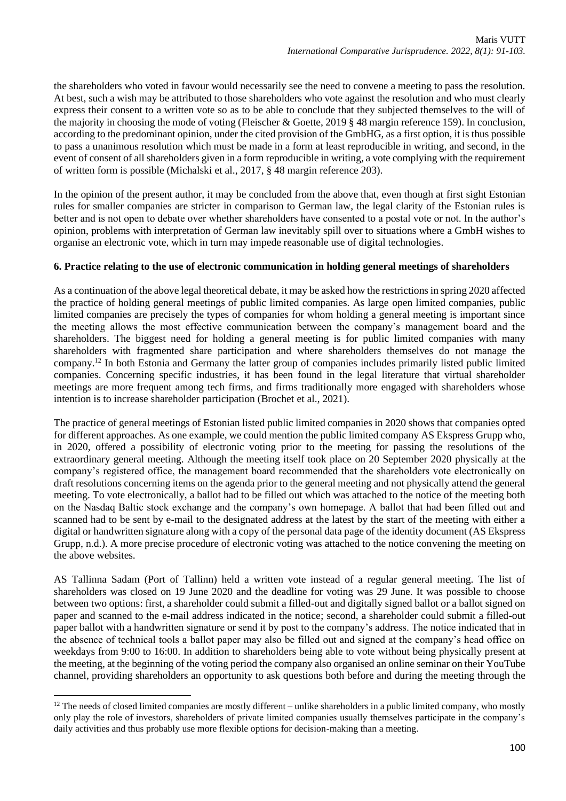the shareholders who voted in favour would necessarily see the need to convene a meeting to pass the resolution. At best, such a wish may be attributed to those shareholders who vote against the resolution and who must clearly express their consent to a written vote so as to be able to conclude that they subjected themselves to the will of the majority in choosing the mode of voting (Fleischer & Goette, 2019 § 48 margin reference 159). In conclusion, according to the predominant opinion, under the cited provision of the GmbHG, as a first option, it is thus possible to pass a unanimous resolution which must be made in a form at least reproducible in writing, and second, in the event of consent of all shareholders given in a form reproducible in writing, a vote complying with the requirement of written form is possible (Michalski et al., 2017, § 48 margin reference 203).

In the opinion of the present author, it may be concluded from the above that, even though at first sight Estonian rules for smaller companies are stricter in comparison to German law, the legal clarity of the Estonian rules is better and is not open to debate over whether shareholders have consented to a postal vote or not. In the author's opinion, problems with interpretation of German law inevitably spill over to situations where a GmbH wishes to organise an electronic vote, which in turn may impede reasonable use of digital technologies.

### **6. Practice relating to the use of electronic communication in holding general meetings of shareholders**

As a continuation of the above legal theoretical debate, it may be asked how the restrictions in spring 2020 affected the practice of holding general meetings of public limited companies. As large open limited companies, public limited companies are precisely the types of companies for whom holding a general meeting is important since the meeting allows the most effective communication between the company's management board and the shareholders. The biggest need for holding a general meeting is for public limited companies with many shareholders with fragmented share participation and where shareholders themselves do not manage the company.<sup>12</sup> In both Estonia and Germany the latter group of companies includes primarily listed public limited companies. Concerning specific industries, it has been found in the legal literature that virtual shareholder meetings are more frequent among tech firms, and firms traditionally more engaged with shareholders whose intention is to increase shareholder participation (Brochet et al., 2021).

The practice of general meetings of Estonian listed public limited companies in 2020 shows that companies opted for different approaches. As one example, we could mention the public limited company AS Ekspress Grupp who, in 2020, offered a possibility of electronic voting prior to the meeting for passing the resolutions of the extraordinary general meeting. Although the meeting itself took place on 20 September 2020 physically at the company's registered office, the management board recommended that the shareholders vote electronically on draft resolutions concerning items on the agenda prior to the general meeting and not physically attend the general meeting. To vote electronically, a ballot had to be filled out which was attached to the notice of the meeting both on the Nasdaq Baltic stock exchange and the company's own homepage. A ballot that had been filled out and scanned had to be sent by e-mail to the designated address at the latest by the start of the meeting with either a digital or handwritten signature along with a copy of the personal data page of the identity document (AS Ekspress Grupp, n.d.). A more precise procedure of electronic voting was attached to the notice convening the meeting on the above websites.

AS Tallinna Sadam (Port of Tallinn) held a written vote instead of a regular general meeting. The list of shareholders was closed on 19 June 2020 and the deadline for voting was 29 June. It was possible to choose between two options: first, a shareholder could submit a filled-out and digitally signed ballot or a ballot signed on paper and scanned to the e-mail address indicated in the notice; second, a shareholder could submit a filled-out paper ballot with a handwritten signature or send it by post to the company's address. The notice indicated that in the absence of technical tools a ballot paper may also be filled out and signed at the company's head office on weekdays from 9:00 to 16:00. In addition to shareholders being able to vote without being physically present at the meeting, at the beginning of the voting period the company also organised an online seminar on their YouTube channel, providing shareholders an opportunity to ask questions both before and during the meeting through the

 $12$  The needs of closed limited companies are mostly different – unlike shareholders in a public limited company, who mostly only play the role of investors, shareholders of private limited companies usually themselves participate in the company's daily activities and thus probably use more flexible options for decision-making than a meeting.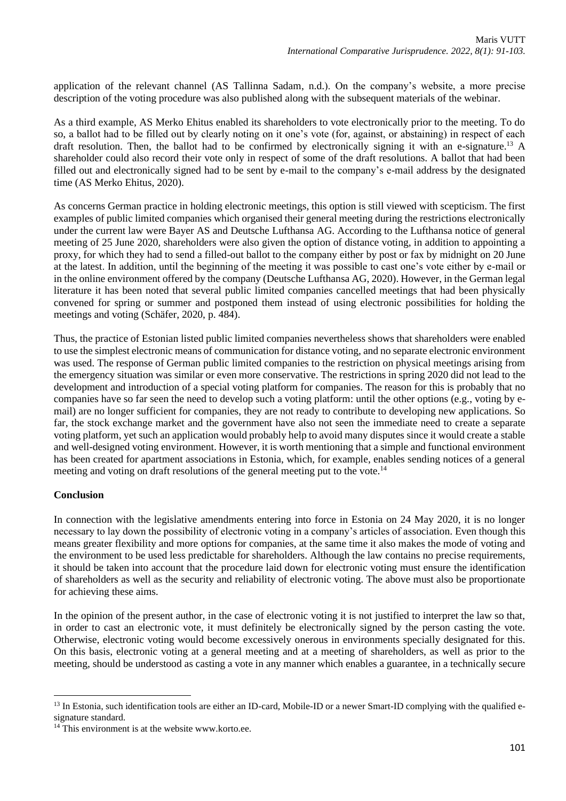application of the relevant channel (AS Tallinna Sadam, n.d.). On the company's website, a more precise description of the voting procedure was also published along with the subsequent materials of the webinar.

As a third example, AS Merko Ehitus enabled its shareholders to vote electronically prior to the meeting. To do so, a ballot had to be filled out by clearly noting on it one's vote (for, against, or abstaining) in respect of each draft resolution. Then, the ballot had to be confirmed by electronically signing it with an e-signature.<sup>13</sup> A shareholder could also record their vote only in respect of some of the draft resolutions. A ballot that had been filled out and electronically signed had to be sent by e-mail to the company's e-mail address by the designated time (AS Merko Ehitus, 2020).

As concerns German practice in holding electronic meetings, this option is still viewed with scepticism. The first examples of public limited companies which organised their general meeting during the restrictions electronically under the current law were Bayer AS and Deutsche Lufthansa AG. According to the Lufthansa notice of general meeting of 25 June 2020, shareholders were also given the option of distance voting, in addition to appointing a proxy, for which they had to send a filled-out ballot to the company either by post or fax by midnight on 20 June at the latest. In addition, until the beginning of the meeting it was possible to cast one's vote either by e-mail or in the online environment offered by the company (Deutsche Lufthansa AG, 2020). However, in the German legal literature it has been noted that several public limited companies cancelled meetings that had been physically convened for spring or summer and postponed them instead of using electronic possibilities for holding the meetings and voting (Schäfer, 2020, p. 484).

Thus, the practice of Estonian listed public limited companies nevertheless shows that shareholders were enabled to use the simplest electronic means of communication for distance voting, and no separate electronic environment was used. The response of German public limited companies to the restriction on physical meetings arising from the emergency situation was similar or even more conservative. The restrictions in spring 2020 did not lead to the development and introduction of a special voting platform for companies. The reason for this is probably that no companies have so far seen the need to develop such a voting platform: until the other options (e.g., voting by email) are no longer sufficient for companies, they are not ready to contribute to developing new applications. So far, the stock exchange market and the government have also not seen the immediate need to create a separate voting platform, yet such an application would probably help to avoid many disputes since it would create a stable and well-designed voting environment. However, it is worth mentioning that a simple and functional environment has been created for apartment associations in Estonia, which, for example, enables sending notices of a general meeting and voting on draft resolutions of the general meeting put to the vote.<sup>14</sup>

# **Conclusion**

In connection with the legislative amendments entering into force in Estonia on 24 May 2020, it is no longer necessary to lay down the possibility of electronic voting in a company's articles of association. Even though this means greater flexibility and more options for companies, at the same time it also makes the mode of voting and the environment to be used less predictable for shareholders. Although the law contains no precise requirements, it should be taken into account that the procedure laid down for electronic voting must ensure the identification of shareholders as well as the security and reliability of electronic voting. The above must also be proportionate for achieving these aims.

In the opinion of the present author, in the case of electronic voting it is not justified to interpret the law so that, in order to cast an electronic vote, it must definitely be electronically signed by the person casting the vote. Otherwise, electronic voting would become excessively onerous in environments specially designated for this. On this basis, electronic voting at a general meeting and at a meeting of shareholders, as well as prior to the meeting, should be understood as casting a vote in any manner which enables a guarantee, in a technically secure

<sup>&</sup>lt;sup>13</sup> In Estonia, such identification tools are either an ID-card, Mobile-ID or a newer Smart-ID complying with the qualified esignature standard.

<sup>&</sup>lt;sup>14</sup> This environment is at the website www.korto.ee.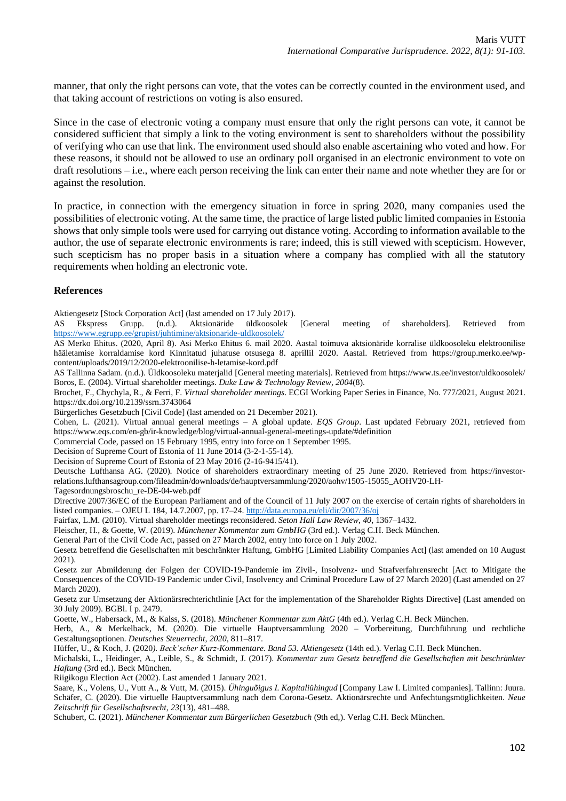manner, that only the right persons can vote, that the votes can be correctly counted in the environment used, and that taking account of restrictions on voting is also ensured.

Since in the case of electronic voting a company must ensure that only the right persons can vote, it cannot be considered sufficient that simply a link to the voting environment is sent to shareholders without the possibility of verifying who can use that link. The environment used should also enable ascertaining who voted and how. For these reasons, it should not be allowed to use an ordinary poll organised in an electronic environment to vote on draft resolutions – i.e., where each person receiving the link can enter their name and note whether they are for or against the resolution.

In practice, in connection with the emergency situation in force in spring 2020, many companies used the possibilities of electronic voting. At the same time, the practice of large listed public limited companies in Estonia shows that only simple tools were used for carrying out distance voting. According to information available to the author, the use of separate electronic environments is rare; indeed, this is still viewed with scepticism. However, such scepticism has no proper basis in a situation where a company has complied with all the statutory requirements when holding an electronic vote.

#### **References**

Aktiengesetz [Stock Corporation Act] (last amended on 17 July 2017).

AS Ekspress Grupp. (n.d.). Aktsionäride üldkoosolek [General meeting of shareholders]. Retrieved from <https://www.egrupp.ee/grupist/juhtimine/aktsionaride-uldkoosolek/>

AS Merko Ehitus. (2020, April 8). Asi Merko Ehitus 6. mail 2020. Aastal toimuva aktsionäride korralise üldkoosoleku elektroonilise hääletamise korraldamise kord Kinnitatud juhatuse otsusega 8. aprillil 2020. Aastal. Retrieved from https://group.merko.ee/wpcontent/uploads/2019/12/2020-elektroonilise-h-letamise-kord.pdf

AS Tallinna Sadam. (n.d.). Üldkoosoleku materjalid [General meeting materials]. Retrieved from https://www.ts.ee/investor/uldkoosolek/ Boros, E. (2004). Virtual shareholder meetings. *Duke Law & Technology Review*, *2004*(8).

Brochet, F., Chychyla, R., & Ferri, F. *Virtual shareholder meetings*. ECGI Working Paper Series in Finance, No. 777/2021, August 2021. https://dx.doi.org/10.2139/ssrn.3743064

Bürgerliches Gesetzbuch [Civil Code] (last amended on 21 December 2021).

Cohen, L. (2021). Virtual annual general meetings – A global update. *EQS Group*. Last updated February 2021, retrieved from https://www.eqs.com/en-gb/ir-knowledge/blog/virtual-annual-general-meetings-update/#definition

Commercial Code, passed on 15 February 1995, entry into force on 1 September 1995.

Decision of Supreme Court of Estonia of 11 June 2014 (3-2-1-55-14).

Decision of Supreme Court of Estonia of 23 May 2016 (2-16-9415/41).

Deutsche Lufthansa AG. (2020). Notice of shareholders extraordinary meeting of 25 June 2020. Retrieved from https://investorrelations.lufthansagroup.com/fileadmin/downloads/de/hauptversammlung/2020/aohv/1505-15055\_AOHV20-LH-

Tagesordnungsbroschu\_re-DE-04-web.pdf

Directive 2007/36/EC of the European Parliament and of the Council of 11 July 2007 on the exercise of certain rights of shareholders in listed companies. – OJEU L 184, 14.7.2007, pp. 17–24.<http://data.europa.eu/eli/dir/2007/36/oj>

Fairfax, L.M. (2010). Virtual shareholder meetings reconsidered. *Seton Hall Law Review*, *40*, 1367–1432.

Fleischer, H., & Goette, W. (2019). *Münchener Kommentar zum GmbHG* (3rd ed.). Verlag C.H. Beck München.

General Part of the Civil Code Act, passed on 27 March 2002, entry into force on 1 July 2002.

Gesetz betreffend die Gesellschaften mit beschränkter Haftung, GmbHG [Limited Liability Companies Act] (last amended on 10 August 2021).

Gesetz zur Abmilderung der Folgen der COVID-19-Pandemie im Zivil-, Insolvenz- und Strafverfahrensrecht [Act to Mitigate the Consequences of the COVID-19 Pandemic under Civil, Insolvency and Criminal Procedure Law of 27 March 2020] (Last amended on 27 March 2020).

Gesetz zur Umsetzung der Aktionärsrechterichtlinie [Act for the implementation of the Shareholder Rights Directive] (Last amended on 30 July 2009). BGBl. I p. 2479.

Goette, W., Habersack, M., & Kalss, S. (2018). *Münchener Kommentar zum AktG* (4th ed.). Verlag C.H. Beck München.

Herb, A., & Merkelback, M. (2020). Die virtuelle Hauptversammlung 2020 – Vorbereitung, Durchführung und rechtliche Gestaltungsoptionen. *Deutsches Steuerrecht*, *2020*, 811–817.

Hüffer, U., & Koch, J. (2020*). Beck'scher Kurz-Kommentare. Band 53. Aktiengesetz* (14th ed.). Verlag C.H. Beck München.

Michalski, L., Heidinger, A., Leible, S., & Schmidt, J. (2017). *Kommentar zum Gesetz betreffend die Gesellschaften mit beschränkter Haftung* (3rd ed.). Beck München.

Riigikogu Election Act (2002). Last amended 1 January 2021.

Saare, K., Volens, U., Vutt A., & Vutt, M. (2015). *Ühinguõigus I. Kapitaliühingud* [Company Law I. Limited companies]. Tallinn: Juura. Schäfer, C. (2020). Die virtuelle Hauptversammlung nach dem Corona-Gesetz. Aktionärsrechte und Anfechtungsmöglichkeiten. *Neue Zeitschrift für Gesellschaftsrecht*, *23*(13), 481–488.

Schubert, C. (2021). *Münchener Kommentar zum Bürgerlichen Gesetzbuch* (9th ed,). Verlag C.H. Beck München.